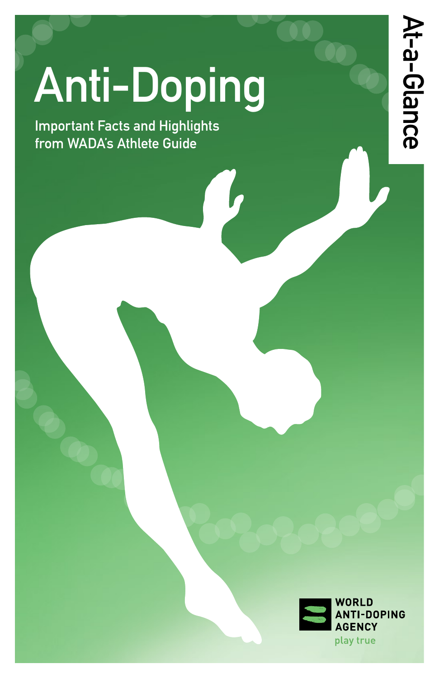# Anti-Doping

Important Facts and Highlights from WADA's Athlete Guide

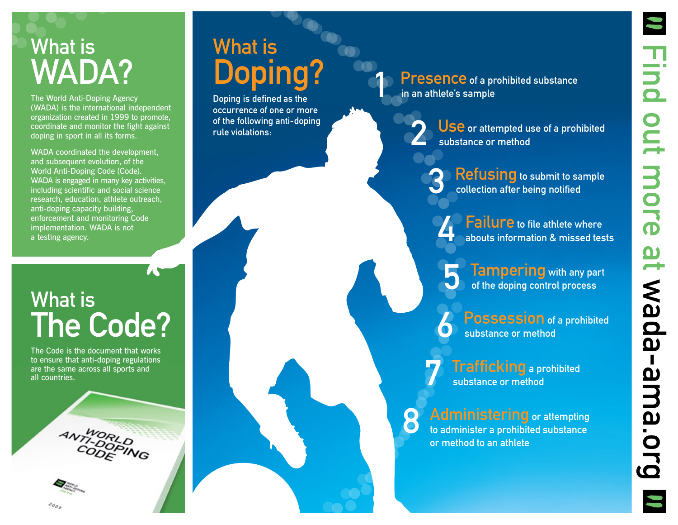# What is WADA?

The World Anti-Doping Agency (WADA) is the international independent organization created in 1999 to promote, coordinate and monitor the fight against doping in sport in all its forms.

WADA coordinated the development. and subsequent evolution, of the World Anti-Doping Code (Code). WADA is engaged in many key activities, including scientific and social science research, education, athlete outreach, anti-doping capacity building, enforcement and monitoring Code implementation. WADA is not a testing agency.

# What is The Code?

The Code is the document that works to ensure that anti-doping regulations are the same across all sports and all countries.



# What is Doping?

Doping is defined as the occurrence of one or more of the following anti-doping rule violations:

Presence of a prohibited substance in an athlete's sample

> USE or attempted use of a prohibited substance or method

> > Refusing to submit to sample collection after being notified

**Failure** to file athlete where abouts information & missed tests

Tampering with any part of the doping control process

Possession of a prohibited substance or method

**Trafficking** a prohibited substance or method

8 Administering or attempting to administer a prohibited substance or method to an athlete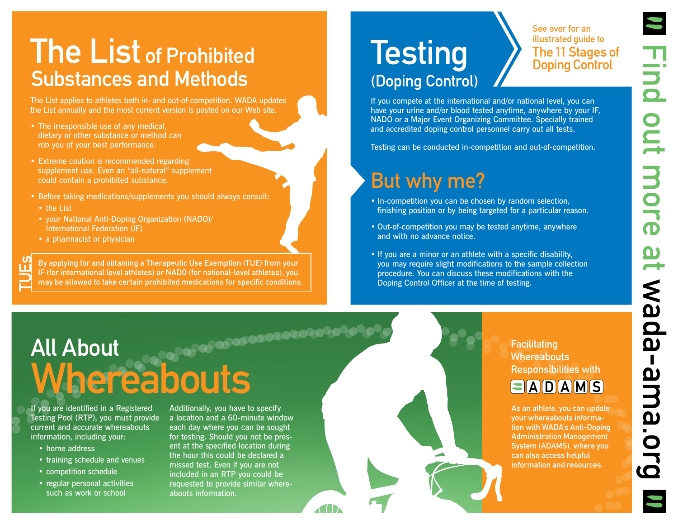## The List of Prohibited Substances and Methods

The List applies to athletes both in- and out-of-competition. WADA updates the List annually and the most current version is posted on our Web site.

- The irresponsible use of any medical, dietary or other substance or method can rob you of your best performance.
- Extreme caution is recommended regarding supplement use. Even an "all-natural" supplement could contain a prohibited substance.
- Before taking medications/supplements you should always consult:
	- • the List

TUEs

- • your National Anti-Doping Organization (NADO)/ International Federation (IF)
- a pharmacist or physician

By applying for and obtaining a Therapeutic Use Exemption (TUE) from your IF (for international level athletes) or NADO (for national-level athletes), you may be allowed to take certain prohibited medications for specific conditions.

# **Testing** (Doping Control)

See over for an illustrated guide to The 11 Stages of Doping Control

If you compete at the international and/or national level, you can have your urine and/or blood tested anytime, anywhere by your IF, NADO or a Major Event Organizing Committee. Specially trained and accredited doping control personnel carry out all tests.

Testing can be conducted in-competition and out-of-competition.

### But why me?

- In-competition you can be chosen by random selection, finishing position or by being targeted for a particular reason.
- Out-of-competition you may be tested anytime, anywhere and with no advance notice.
- If you are a minor or an athlete with a specific disability, you may require slight modifications to the sample collection procedure. You can discuss these modifications with the Doping Control Officer at the time of testing.

# All About **Whereabouts**

If you are identified in a Registered Testing Pool (RTP), you must provide current and accurate whereabouts information, including your:

- home address
- training schedule and venues
- • competition schedule
- regular personal activities such as work or school

Additionally, you have to specify a location and a 60-minute window each day where you can be sought for testing. Should you not be present at the specified location during the hour this could be declared a missed test. Even if you are not included in an RTP you could be requested to provide similar whereabouts information.

**THE** 

**Facilitating Whereabouts** Responsibilities with

### $\blacksquare$ ADAMS

As an athlete, you can update your whereabouts information with WADA's Anti-Doping Administration Management System (ADAMS), where you can also access helpful information and resources.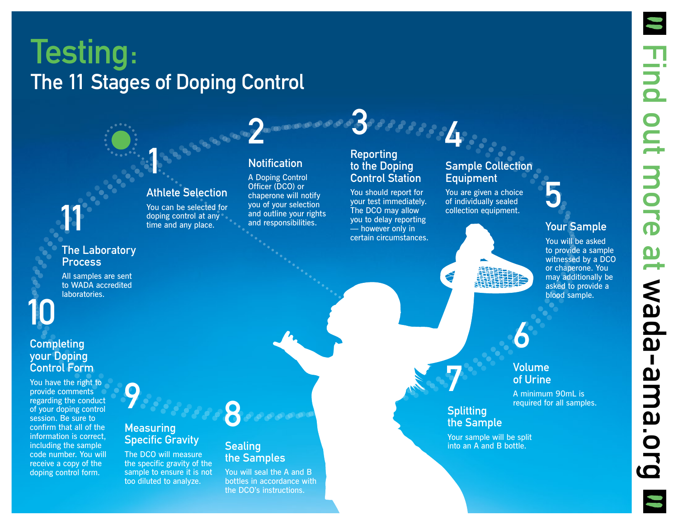# Testing: The 11 Stages of Doping Control

1

Athlete Selection You can be selected for doping control at any time and any place.

### **Notification**

2

A Doping Control Officer (DCO) or chaperone will notify you of your selection and outline your rights and responsibilities.

#### Reporting to the Doping Control Station

3

You should report for your test immediately. The DCO may allow you to delay reporting — however only in certain circumstances.

### Sample Collection **Equipment**

4

You are given a choice of individually sealed collection equipment.

### Your Sample

5

You will be asked to provide a sample witnessed by a DCO or chaperone. You may additionally be asked to provide a blood sample.



### 6 Volume of Urine

A minimum 90mL is required for all samples.

**Splitting** the Sample

7

Your sample will be split into an A and B bottle.

### The Laboratory **Process**

11

All samples are sent to WADA accredited laboratories.



#### **Completing** your Doping Control Form

You have the right to provide comments regarding the conduct of your doping control session. Be sure to confirm that all of the information is correct, including the sample code number. You will receive a copy of the doping control form.

9

#### **Measuring** Specific Gravity

The DCO will measure the specific gravity of the sample to ensure it is not too diluted to analyze.



#### **Sealing** the Samples

You will seal the A and B bottles in accordance with the DCO's instructions.

**Find out more** Find out more at at wada-ama.org wada-ama.org